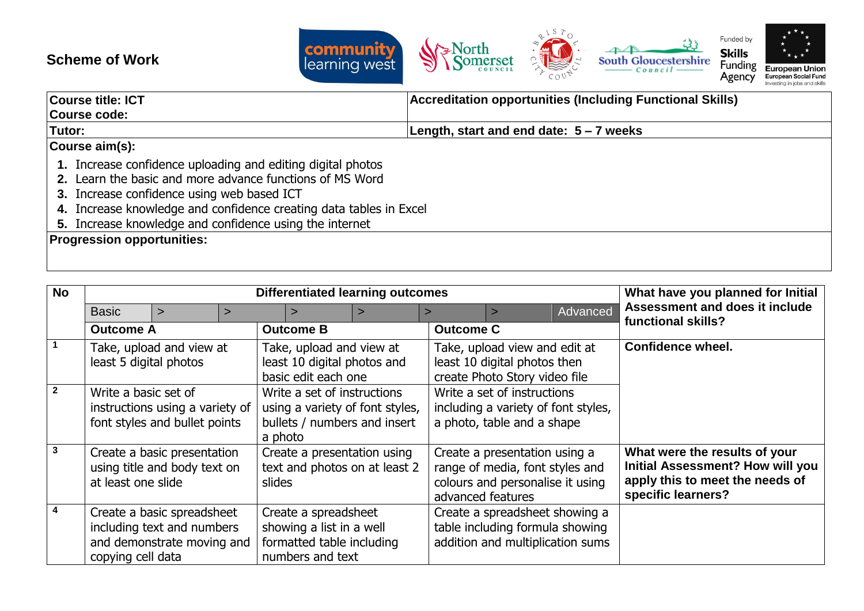## **Scheme of Work**



| <b>Course title: ICT</b>                                                                                                                                                                                                                                                                               | <b>Accreditation opportunities (Including Functional Skills)</b> |  |  |  |  |
|--------------------------------------------------------------------------------------------------------------------------------------------------------------------------------------------------------------------------------------------------------------------------------------------------------|------------------------------------------------------------------|--|--|--|--|
| Course code:                                                                                                                                                                                                                                                                                           |                                                                  |  |  |  |  |
| Tutor:                                                                                                                                                                                                                                                                                                 | Length, start and end date: $5 - 7$ weeks                        |  |  |  |  |
| Course aim(s):                                                                                                                                                                                                                                                                                         |                                                                  |  |  |  |  |
| 1. Increase confidence uploading and editing digital photos<br>2. Learn the basic and more advance functions of MS Word<br>3. Increase confidence using web based ICT<br>4. Increase knowledge and confidence creating data tables in Excel<br>5. Increase knowledge and confidence using the internet |                                                                  |  |  |  |  |
| <b>Progression opportunities:</b>                                                                                                                                                                                                                                                                      |                                                                  |  |  |  |  |
|                                                                                                                                                                                                                                                                                                        |                                                                  |  |  |  |  |

| <b>No</b>      | <b>Differentiated learning outcomes</b>                                                  |                                                                                                                                                             |  |                                                                                                                                                                                  |                                                                                                   |                                                                                                  | What have you planned for Initial                                                                                                 |                                                                                                       |          |                                                      |
|----------------|------------------------------------------------------------------------------------------|-------------------------------------------------------------------------------------------------------------------------------------------------------------|--|----------------------------------------------------------------------------------------------------------------------------------------------------------------------------------|---------------------------------------------------------------------------------------------------|--------------------------------------------------------------------------------------------------|-----------------------------------------------------------------------------------------------------------------------------------|-------------------------------------------------------------------------------------------------------|----------|------------------------------------------------------|
|                | <b>Basic</b>                                                                             | $\geq$                                                                                                                                                      |  |                                                                                                                                                                                  |                                                                                                   |                                                                                                  |                                                                                                                                   |                                                                                                       | Advanced | Assessment and does it include<br>functional skills? |
|                | <b>Outcome A</b>                                                                         |                                                                                                                                                             |  |                                                                                                                                                                                  | <b>Outcome B</b>                                                                                  |                                                                                                  | <b>Outcome C</b>                                                                                                                  |                                                                                                       |          |                                                      |
|                | Take, upload and view at<br>least 5 digital photos                                       |                                                                                                                                                             |  | Take, upload and view at<br>Take, upload view and edit at<br>least 10 digital photos and<br>least 10 digital photos then<br>basic edit each one<br>create Photo Story video file |                                                                                                   |                                                                                                  | Confidence wheel.                                                                                                                 |                                                                                                       |          |                                                      |
| $\overline{2}$ | Write a basic set of<br>instructions using a variety of<br>font styles and bullet points |                                                                                                                                                             |  | Write a set of instructions<br>using a variety of font styles,<br>bullets / numbers and insert<br>a photo                                                                        |                                                                                                   | Write a set of instructions<br>including a variety of font styles,<br>a photo, table and a shape |                                                                                                                                   |                                                                                                       |          |                                                      |
| $\mathbf{3}$   |                                                                                          | Create a basic presentation<br>Create a presentation using<br>text and photos on at least 2<br>using title and body text on<br>at least one slide<br>slides |  | Create a presentation using a<br>range of media, font styles and<br>colours and personalise it using<br>advanced features                                                        |                                                                                                   |                                                                                                  | What were the results of your<br><b>Initial Assessment? How will you</b><br>apply this to meet the needs of<br>specific learners? |                                                                                                       |          |                                                      |
| 4              | copying cell data                                                                        | Create a basic spreadsheet<br>including text and numbers<br>and demonstrate moving and                                                                      |  |                                                                                                                                                                                  | Create a spreadsheet<br>showing a list in a well<br>formatted table including<br>numbers and text |                                                                                                  |                                                                                                                                   | Create a spreadsheet showing a<br>table including formula showing<br>addition and multiplication sums |          |                                                      |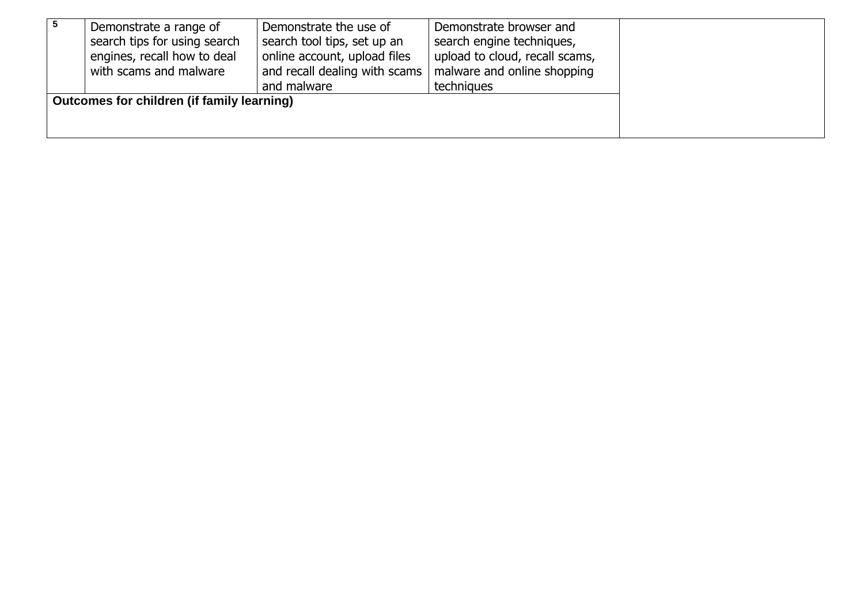| Demonstrate a range of                     | Demonstrate the use of        | Demonstrate browser and        |  |
|--------------------------------------------|-------------------------------|--------------------------------|--|
| search tips for using search               | search tool tips, set up an   | search engine techniques,      |  |
|                                            |                               |                                |  |
| engines, recall how to deal                | online account, upload files  | upload to cloud, recall scams, |  |
| with scams and malware                     | and recall dealing with scams | malware and online shopping    |  |
|                                            | and malware                   | techniques                     |  |
| Outcomes for children (if family learning) |                               |                                |  |
|                                            |                               |                                |  |
|                                            |                               |                                |  |
|                                            |                               |                                |  |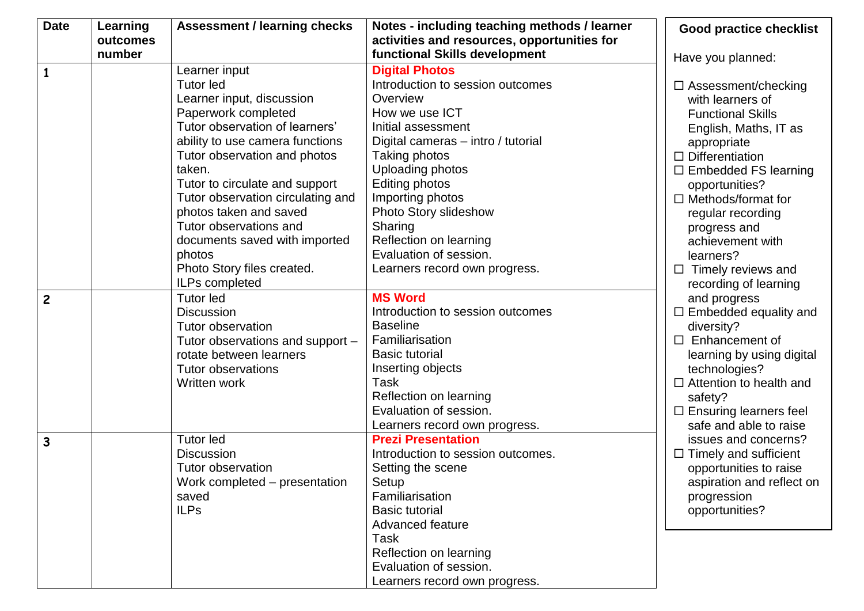| <b>Date</b>    | Learning | <b>Assessment / learning checks</b> | Notes - including teaching methods / learner | <b>Good practice checklist</b> |
|----------------|----------|-------------------------------------|----------------------------------------------|--------------------------------|
|                | outcomes |                                     | activities and resources, opportunities for  |                                |
|                | number   |                                     | functional Skills development                | Have you planned:              |
| $\mathbf{1}$   |          | Learner input                       | <b>Digital Photos</b>                        |                                |
|                |          | <b>Tutor led</b>                    | Introduction to session outcomes             | $\Box$ Assessment/checking     |
|                |          | Learner input, discussion           | Overview                                     | with learners of               |
|                |          | Paperwork completed                 | How we use ICT                               | <b>Functional Skills</b>       |
|                |          | Tutor observation of learners'      | Initial assessment                           | English, Maths, IT as          |
|                |          | ability to use camera functions     | Digital cameras - intro / tutorial           | appropriate                    |
|                |          | Tutor observation and photos        | Taking photos                                | $\Box$ Differentiation         |
|                |          | taken.                              | Uploading photos                             | $\Box$ Embedded FS learning    |
|                |          | Tutor to circulate and support      | Editing photos                               | opportunities?                 |
|                |          | Tutor observation circulating and   | Importing photos                             | $\Box$ Methods/format for      |
|                |          | photos taken and saved              | Photo Story slideshow                        | regular recording              |
|                |          | Tutor observations and              | Sharing                                      | progress and                   |
|                |          | documents saved with imported       | Reflection on learning                       | achievement with               |
|                |          | photos                              | Evaluation of session.                       | learners?                      |
|                |          | Photo Story files created.          | Learners record own progress.                | Timely reviews and<br>$\Box$   |
|                |          | ILPs completed                      |                                              | recording of learning          |
| $\overline{c}$ |          | <b>Tutor led</b>                    | <b>MS Word</b>                               | and progress                   |
|                |          | <b>Discussion</b>                   | Introduction to session outcomes             | $\Box$ Embedded equality and   |
|                |          | Tutor observation                   | <b>Baseline</b>                              | diversity?                     |
|                |          | Tutor observations and support -    | Familiarisation                              | Enhancement of<br>$\Box$       |
|                |          | rotate between learners             | <b>Basic tutorial</b>                        | learning by using digital      |
|                |          | <b>Tutor observations</b>           | Inserting objects                            | technologies?                  |
|                |          | Written work                        | Task                                         | $\Box$ Attention to health and |
|                |          |                                     | Reflection on learning                       | safety?                        |
|                |          |                                     | Evaluation of session.                       | $\Box$ Ensuring learners feel  |
|                |          |                                     | Learners record own progress.                | safe and able to raise         |
| $\mathbf{3}$   |          | <b>Tutor led</b>                    | <b>Prezi Presentation</b>                    | issues and concerns?           |
|                |          | <b>Discussion</b>                   | Introduction to session outcomes.            | $\Box$ Timely and sufficient   |
|                |          | Tutor observation                   | Setting the scene                            | opportunities to raise         |
|                |          | Work completed – presentation       | Setup                                        | aspiration and reflect on      |
|                |          | saved                               | Familiarisation                              | progression                    |
|                |          | <b>ILPs</b>                         | <b>Basic tutorial</b>                        | opportunities?                 |
|                |          |                                     | Advanced feature                             |                                |
|                |          |                                     | Task<br>Reflection on learning               |                                |
|                |          |                                     | Evaluation of session.                       |                                |
|                |          |                                     |                                              |                                |
|                |          |                                     | Learners record own progress.                |                                |